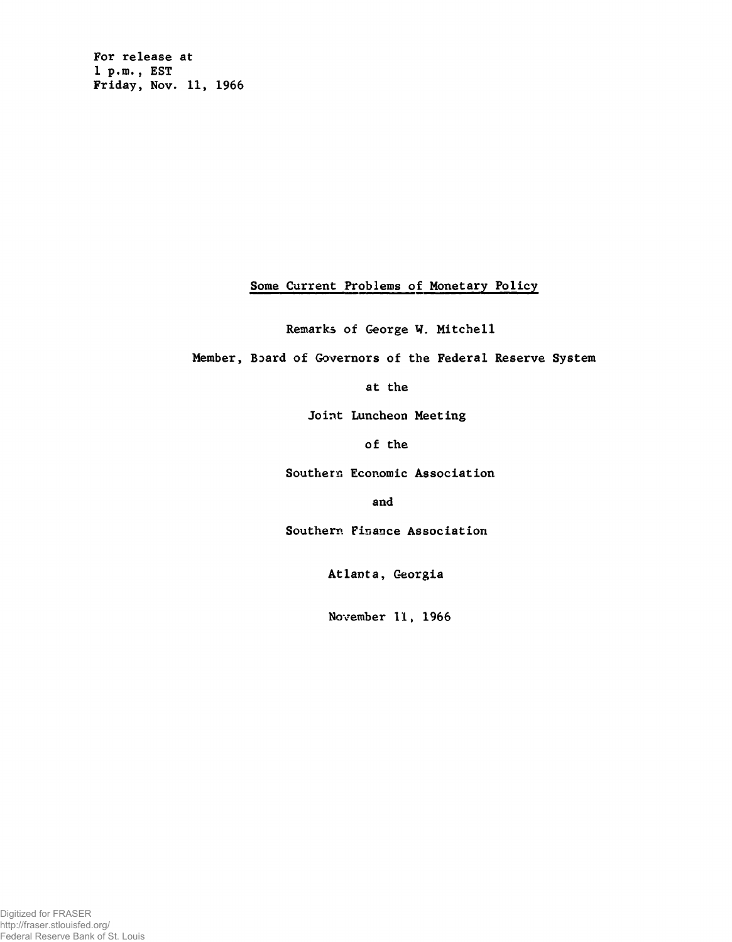For release at 1 p.m. , EST Friday, Nov. 11, 1966

## Some Current Problems of Monetary Policy

Remarks of George W. Mitchell

Member, Board of Governors of the Federal Reserve System

at the

Joint Luncheon Meeting

of the

Southern Economic Association

and

Southern Finance Association

Atlanta, Georgia

November 11, 1966

Digitized for FRASER http://fraser.stlouisfed.org/ Federal Reserve Bank of St. Louis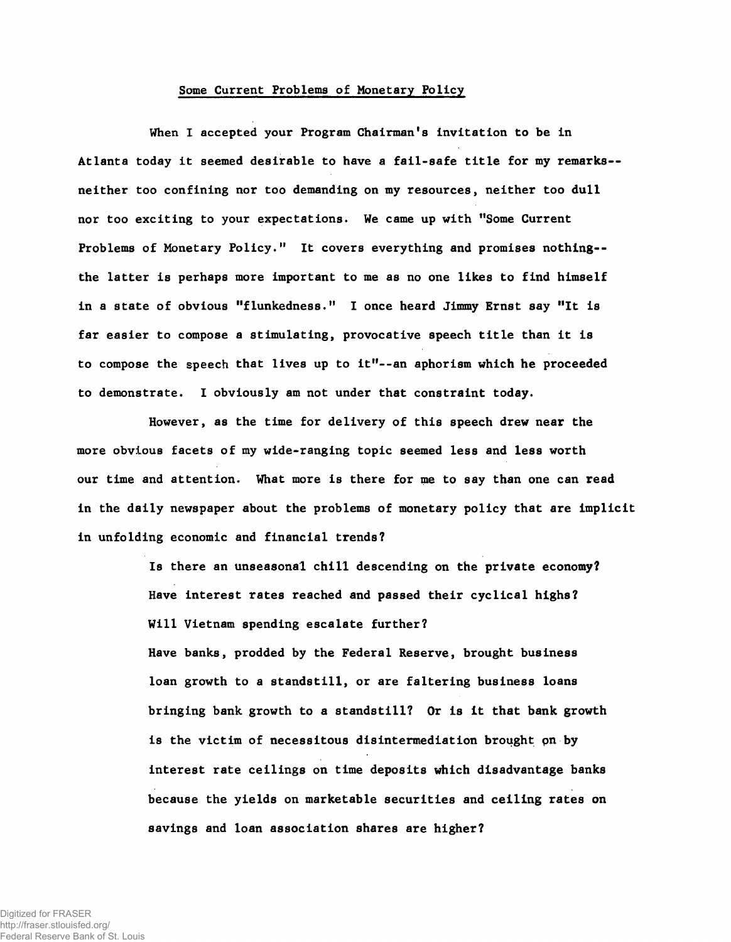## Some Current Problems of Monetary Policy

When 1 accepted your Program Chairman's invitation to be in Atlanta today it seemed desirable to have a fail-safe title for my remarks- neither too confining nor too demanding on my resources, neither too dull nor too exciting to your expectations. We came up with "Some Current Problems of Monetary Policy." It covers everything and promises nothing- the latter is perhaps more important to me as no one likes to find himself in a state of obvious "flunkedness." I once heard Jimmy Ernst say "It is far easier to compose a stimulating, provocative speech title than it is to compose the speech that lives up to it"--an aphorism which he proceeded to demonstrate. I obviously am not under that constraint today.

However, as the time for delivery of this speech drew near the more obvious facets of my wide-ranging topic seemed less and less worth our time and attention. What more is there for me to say than one can read in the daily newspaper about the problems of monetary policy that are implicit in unfolding economic and financial trends?

> Is there an unseasonal chill descending on the private economy? Have interest rates reached and passed their cyclical highs? Will Vietnam spending escalate further? Have banks, prodded by the Federal Reserve, brought business loan growth to a standstill, or are faltering business loans bringing bank growth to a standstill? Or is it that bank growth is the victim of necessitous disintermediation brought pn by interest rate ceilings on time deposits which disadvantage banks because the yields on marketable securities and ceiling rates on savings and loan association shares are higher?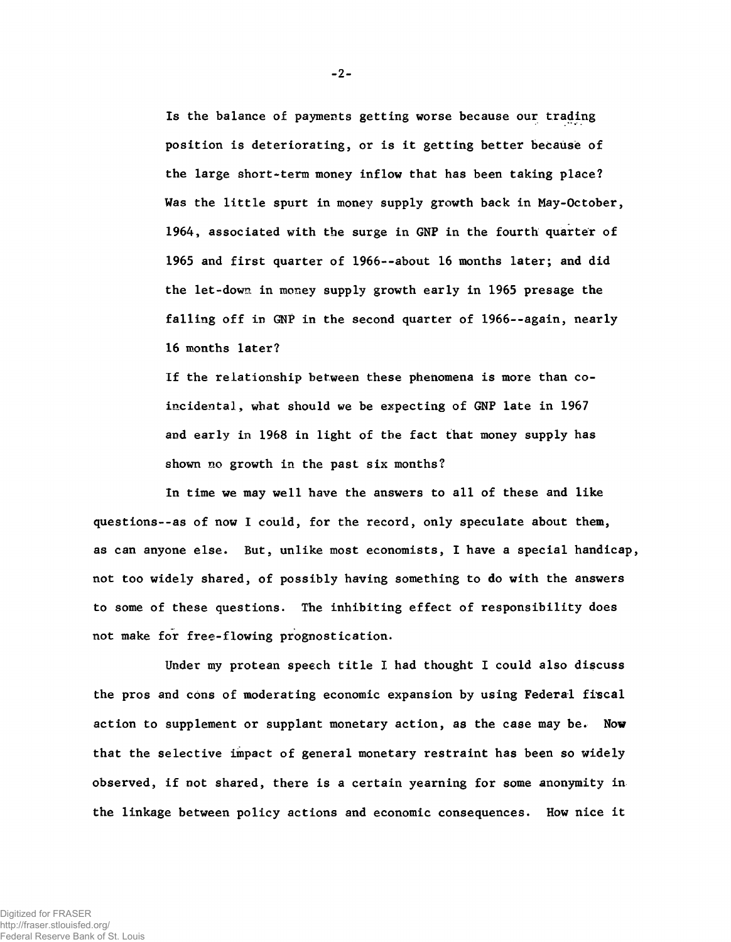Is the balance of payments getting worse because our trading position is deteriorating, or is it getting better because of the large short-term money inflow that has been taking place? Was the little spurt in money supply growth back in May-October, 1964, associated with the surge in GNP in the fourth quarter of 1965 and first quarter of 1966--about 16 months later; and did the let-down, in money supply growth early in 1965 presage the falling off in GNP in the second quarter of 1966--again, nearly 16 months later?

If the relationship between these phenomena is more than coincidental, what should we be expecting of GNP late in 1967 and early in 1968 in light of the fact that money supply has shown no growth in the past six months?

In time we may well have the answers to all of these and like questions--as of now I could, for the record, only speculate about them, as can anyone else. But, unlike most economists, I have a special handicap, not too widely shared, of possibly having something to do with the answers to some of these questions. The inhibiting effect of responsibility does not make for free-flowing prognostication.

Under my protean speech title I had thought I could also discuss the pros and cons of moderating economic expansion by using Federal fiscal action to supplement or supplant monetary action, as the case may be. Now that the selective impact of general monetary restraint has been so widely observed, if not shared, there is a certain yearning for some anonymity in the linkage between policy actions and economic consequences. How nice it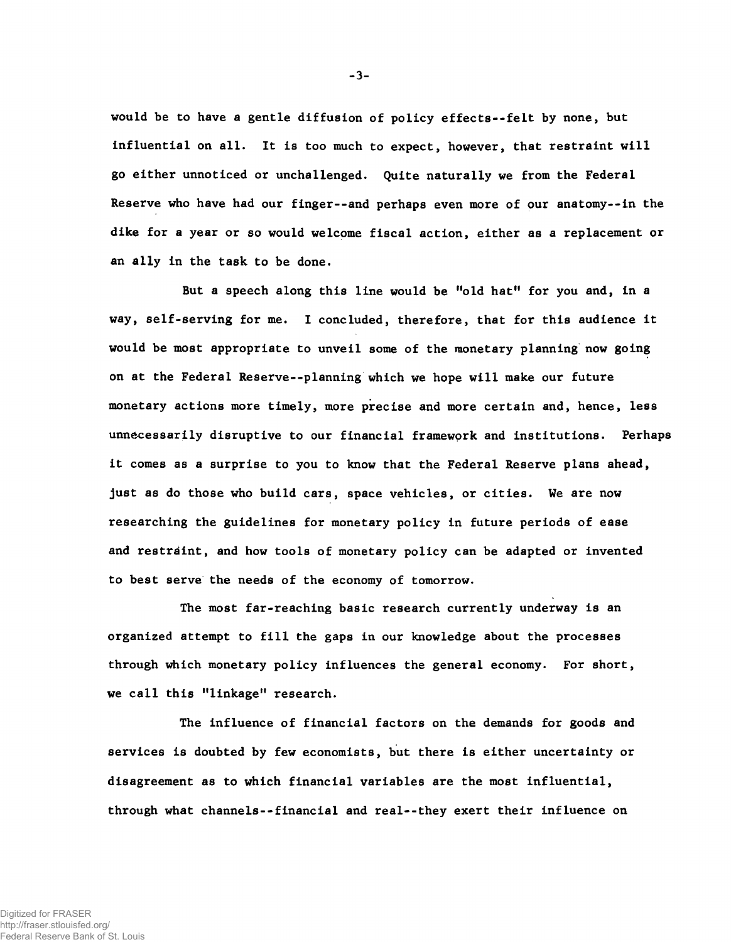would be to have a gentle diffusion of policy effects--felt by none, but influential on all. It is too much to expect, however, that restraint will go either unnoticed or unchallenged. Quite naturally we from the Federal Reserve who have had our finger— and perhaps even more of our anatomy--in the dike for a year or so would welcome fiscal action, either as a replacement or an ally in the task to be done.

But a speech along this line would be "old hat" for you and, in a way, self-serving for me. I concluded, therefore, that for this audience it would be most appropriate to unveil some of the monetary planning now going on at the Federal Reserve--planning which we hope will make our future monetary actions more timely, more precise and more certain and, hence, less unnecessarily disruptive to our financial framework and institutions. Perhaps it comes as a surprise to you to know that the Federal Reserve plans ahead, just as do those who build cars, space vehicles, or cities. We are now researching the guidelines for monetary policy in future periods of ease and restraint, and how tools of monetary policy can be adapted or invented to best serve the needs of the economy of tomorrow.

The most far-reaching basic research currently underway is an organized attempt to fill the gaps in our knowledge about the processes through which monetary policy influences the general economy. For short, we call this "linkage" research.

The influence of financial factors on the demands for goods and services is doubted by few economists, but there is either uncertainty or disagreement as to which financial variables are the most influential, through what channels--financial and real--they exert their influence on

-3-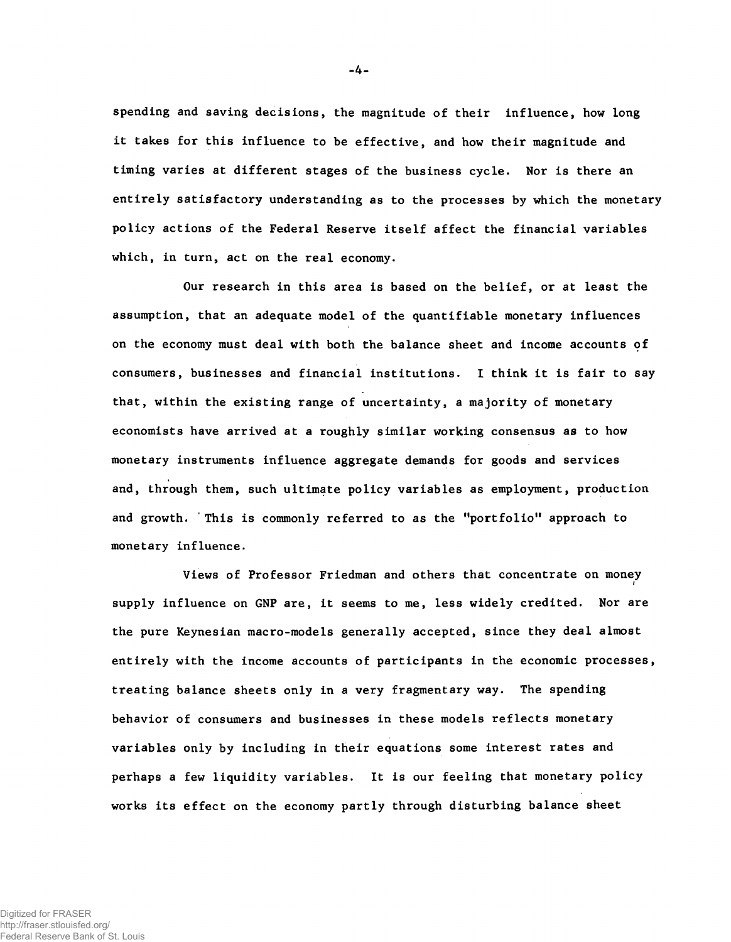spending and saving decisions, the magnitude of their influence, how long it takes for this influence to be effective, and how their magnitude and timing varies at different stages of the business cycle. Nor is there an entirely satisfactory understanding as to the processes by which the monetary policy actions of the Federal Reserve itself affect the financial variables which, in turn, act on the real economy.

Our research in this area is based on the belief, or at least the assumption, that an adequate model of the quantifiable monetary influences on the economy must deal with both the balance sheet and income accounts *of* consumers, businesses and financial institutions. I think it is fair to say that, within the existing range of uncertainty, a majority of monetary economists have arrived at a roughly similar working consensus as to how monetary instruments influence aggregate demands for goods and services and, through them, such ultimate policy variables as employment, production and growth. ' This is commonly referred to as the "portfolio" approach to monetary influence.

Views of Professor Friedman and others that concentrate on money *i* supply influence on GNP are, it seems to me, less widely credited. Nor are the pure Keynesian macro-models generally accepted, since they deal almost entirely with the income accounts of participants in the economic processes, treating balance sheets only in a very fragmentary way. The spending behavior of consumers and businesses in these models reflects monetary variables only by including in their equations some interest rates and perhaps a few liquidity variables. It is our feeling that monetary policy works its effect on the economy partly through disturbing balance sheet

-4-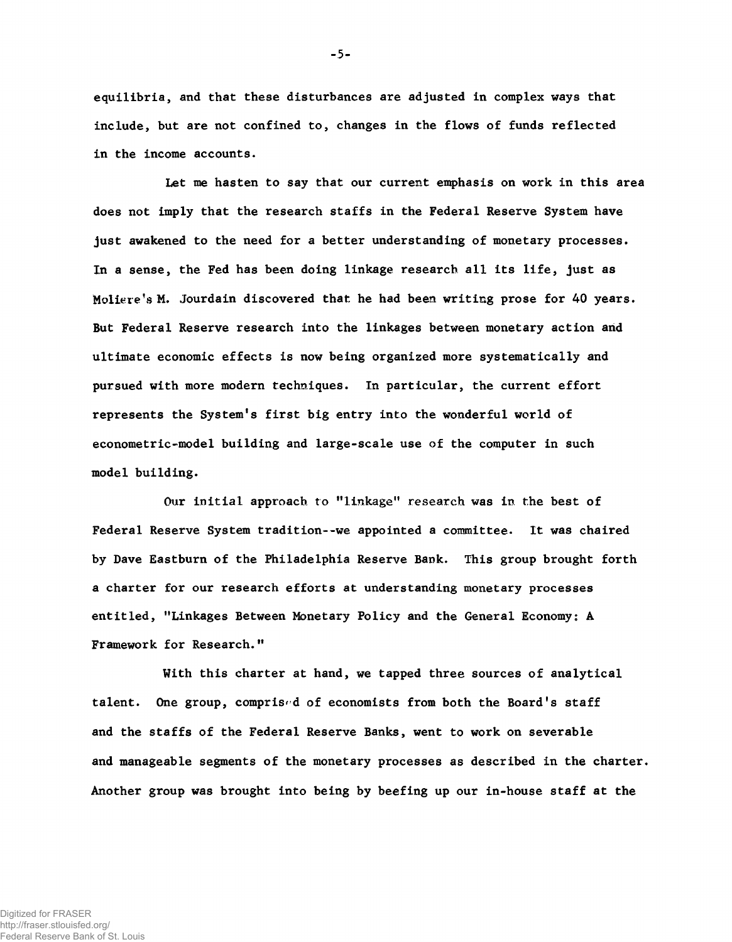equilibria, and that these disturbances are adjusted in complex ways that include, but are not confined to, changes in the flows of funds reflected in the income accounts.

Let me hasten to say that our current emphasis on work in this area does not imply that the research staffs in the Federal Reserve System have just awakened to the need for a better understanding of monetary processes. In a sense, the Fed has been doing linkage research all its life, just as Moliere'aM. Jourdain discovered that he had been writing prose for 40 years. But Federal Reserve research into the linkages between monetary action and ultimate economic effects is now being organized more systematically and pursued with more modern techniques. In particular, the current effort represents the System's first big entry into the wonderful world of econometric-model building and large-scale use of the computer in such model building.

Our initial approach *to* "linkage" research was in the best of Federal Reserve System tradition--we appointed a committee. It was chaired by Dave Eastburn of the Philadelphia Reserve Bank. This group brought forth a charter for our research efforts at understanding monetary processes entitled, "Linkages Between Monetary Policy and the General Economy: A Framework for Research."

With this charter at hand, we tapped three sources of analytical talent. One group, comprised of economists from both the Board's staff and the staffs of the Federal Reserve Banks, went to work on severable and manageable segments of the monetary processes as described in the charter. Another group was brought into being by beefing up our in-house staff at the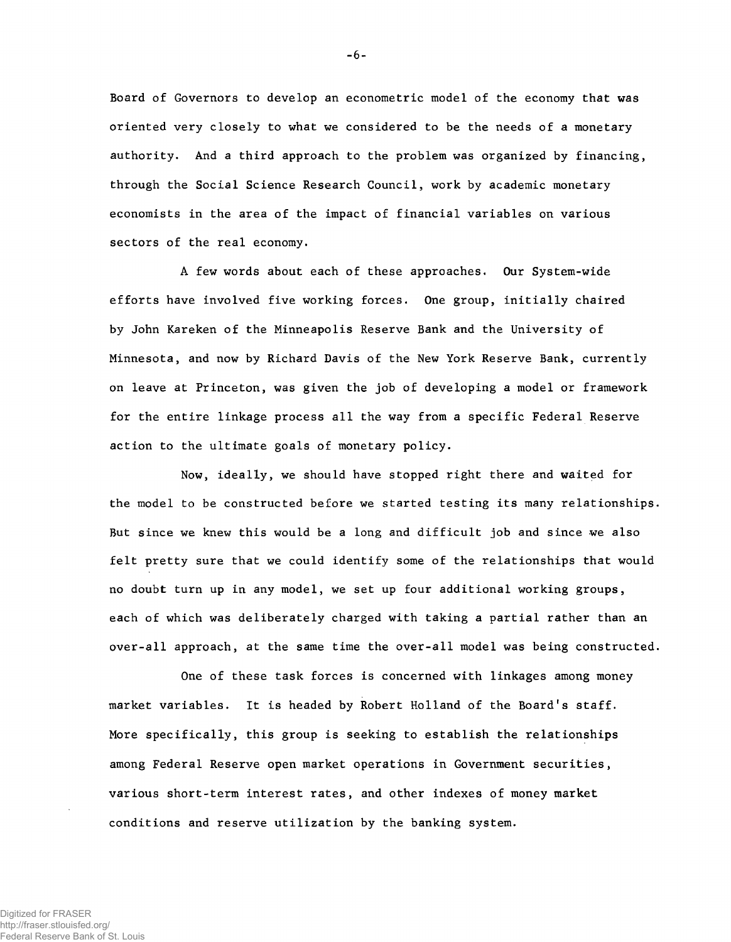Board of Governors to develop an econometric model of the economy that was oriented very closely to what we considered to be the needs of a monetary authority. And a third approach to the problem was organized by financing, through the Social Science Research Council, work by academic monetary economists in the area of the impact of financial variables on various sectors of the real economy.

A few words about each of these approaches. Our System-wide efforts have involved five working forces. One group, initially chaired by John Kareken of the Minneapolis Reserve Bank and the University of Minnesota, and now by Richard Davis of the New York Reserve Bank, currently on leave at Princeton, was given the job of developing a model or framework for the entire linkage process all the way from a specific Federal Reserve action to the ultimate goals of monetary policy.

Now, ideally, we should have stopped right there and waited for the model to be constructed before we started testing its many relationships. But since we knew this would be a long and difficult job and since we also felt pretty sure that we could identify some of the relationships that would no doubt turn up in any model, we set up four additional working groups, each of which was deliberately charged with taking a partial rather than an over-all approach, at the same time the over-all model was being constructed.

One of these task forces is concerned with linkages among money market variables. It is headed by Robert Holland of the Board's staff. More specifically, this group is seeking to establish the relationships among Federal Reserve open market operations in Government securities, various short-term interest rates, and other indexes of money market conditions and reserve utilization by the banking system.

-6-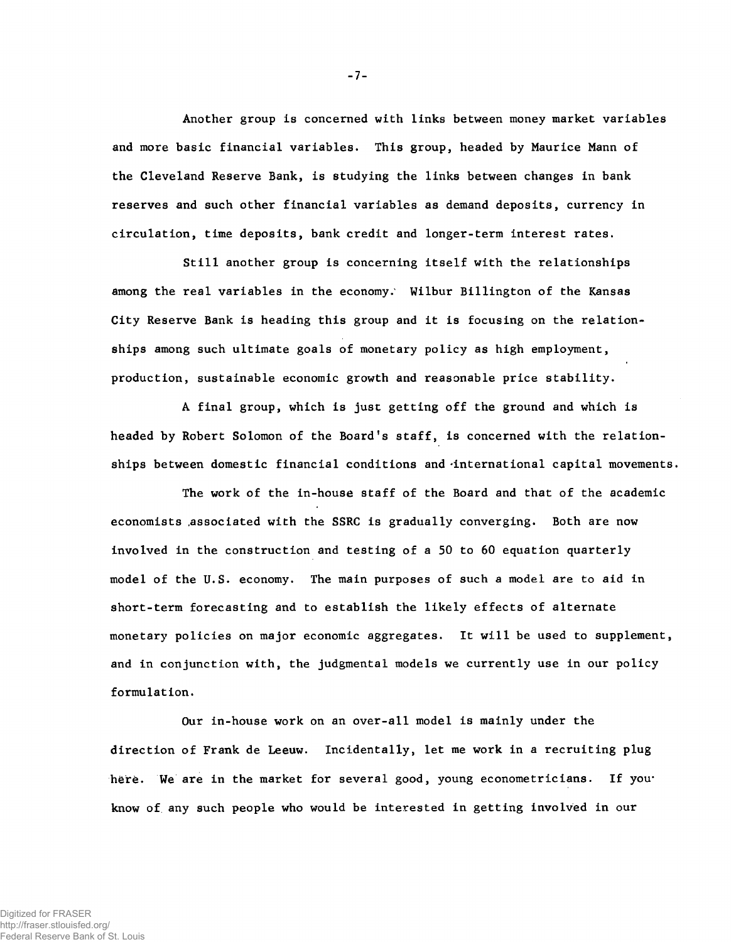Another group is concerned with links between money market variables and more basic financial variables. This group, headed by Maurice Mann of the Cleveland Reserve Bank, is studying the links between changes in bank reserves and such other financial variables as demand deposits, currency in circulation, time deposits, bank credit and longer-term interest rates.

Still another group is concerning itself with the relationships among the real variables in the economy.' Wilbur Billington of the Kansas City Reserve Bank is heading this group and it is focusing on the relationships among such ultimate goals of monetary policy as high employment, production, sustainable economic growth and reasonable price stability.

A final group, which is just getting off the ground and which is headed by Robert Solomon of the Board's staff, is concerned with the relationships between domestic financial conditions and -international capital movements.

The work of the in-house staff of the Board and that of the academic economists .associated with the SSRC is gradually converging. Both are now involved in the construction and testing of a 50 to 60 equation quarterly model of the U.S. economy. The main purposes of such a model are to aid in short-term forecasting and to establish the likely effects of alternate monetary policies on major economic aggregates. It will be used to supplement, and in conjunction with, the judgmental models we currently use in our policy formulation.

Our in-house work on an over-all model is mainly under the direction of Frank de Leeuw. Incidentally, let me work in a recruiting plug here. We are in the market for several good, young econometricians. If youknow of any such people who would be interested in getting involved in our

Digitized for FRASER http://fraser.stlouisfed.org/ Federal Reserve Bank of St. Louis **-** 7**-**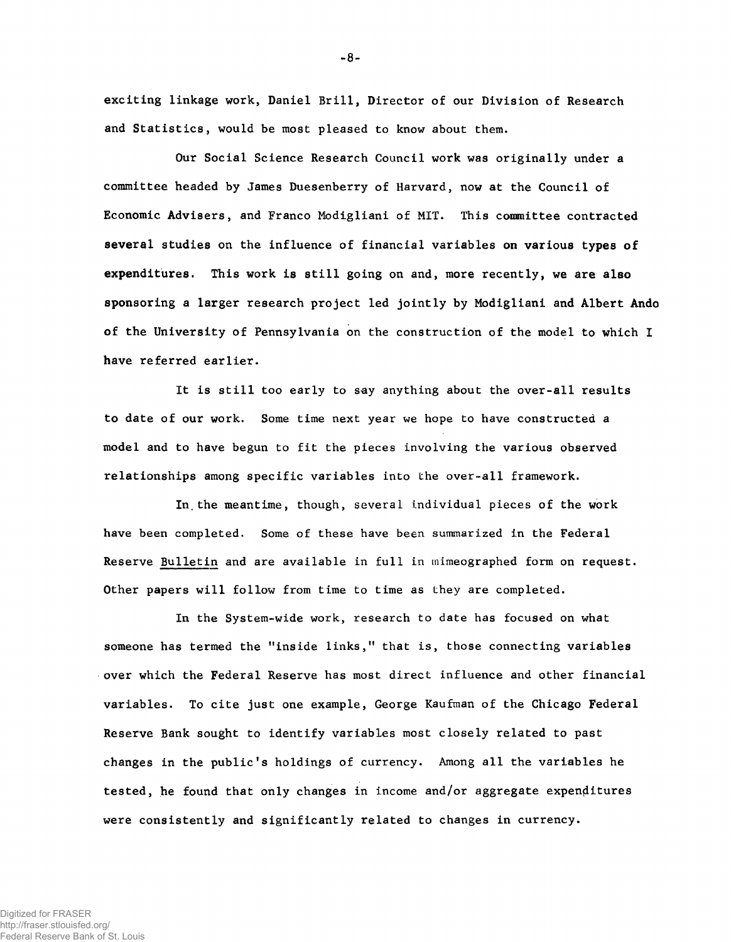exciting linkage work, Daniel Brill, Director of our Division of Research and Statistics, would be most pleased to know about them.

Our Social Science Research Council work was originally under a committee headed by James Duesenberry of Harvard, now at the Council of Economic Advisers, and Franco Modigliani of MIT. This committee contracted several studies on the influence of financial variables on various types of expenditures. This work is still going on and, more recently, we are also sponsoring a larger research project led jointly by Modigliani and Albert Ando of the University of Pennsylvania on the construction of the model to which I have referred earlier.

It is still too early to say anything about the over-all results to date of our work. Some time next year we hope to have constructed a model and to have begun to fit the pieces involving the various observed relationships among specific variables into the over-all framework.

In.the meantime, though, several individual pieces of the work have been completed. Some of these have been summarized in the Federal Reserve Bulletin and are available in full in mimeographed form on request. Other papers will follow from time to time as they are completed.

In the System-wide work, research to date has focused on what someone has termed the "inside links," that is, those connecting variables over which the Federal Reserve has most direct influence and other financial variables. To cite just one example, George Kaufman of the Chicago Federal Reserve Bank sought to identify variables most closely related to past changes in the public's holdings of currency. Among all the variables he tested, he found that only changes in income and/or aggregate expenditures were consistently and significantly related to changes in currency.

-8-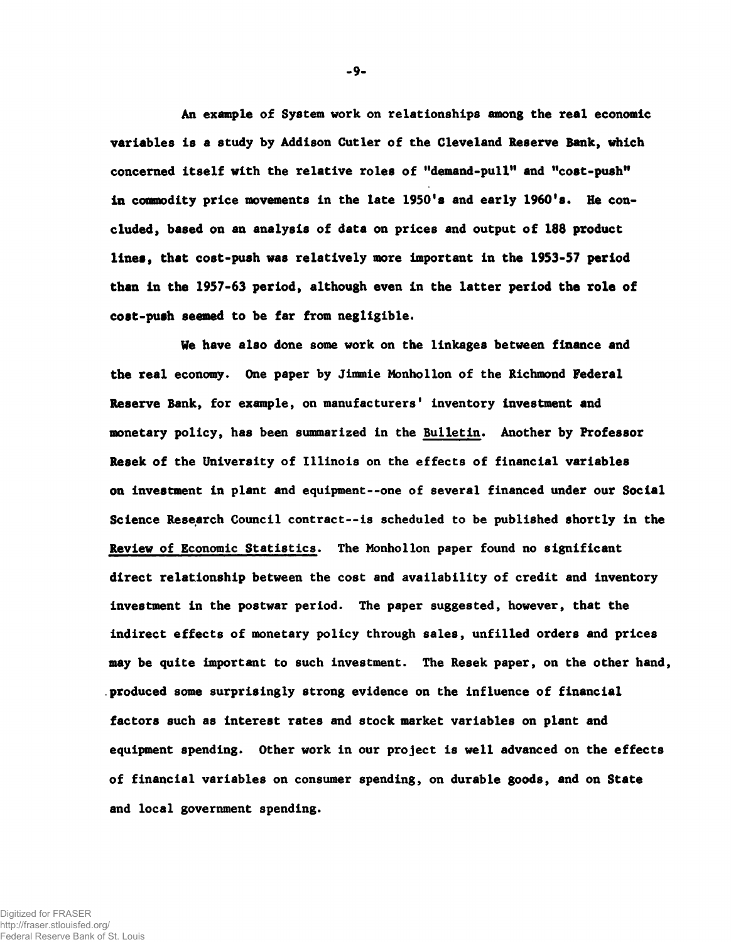An example of System work on relationships among the real economic variables is a study by Addison Cutler of the Cleveland Reserve Bank, which concerned itself with the relative roles of "demand-pull" and "cost-push" in commodity price movements in the late **1950's** and early **1960's.** He concluded, based on an analysis of data on prices and output of **188** product lines, that cost-push was relatively more important in the **1953-57** period than in the **1957-63** period, although even in the latter period the role of cost-push seemed to be far from negligible.

We have also done some work on the linkages between finance and the real economy. One paper by Jimmie Monhollon of the Richmond Federal Reserve Bank, for example, on manufacturers' inventory investment and monetary policy, has been summarized in the Bulletin. Another by Professor Sesek of the University of Illinois on the effects of financial variables on investment in plant and equipment— one of several financed under our Social Science Research Council contract--is scheduled to be published shortly in the Review of Economic Statistics. The Monhollon paper found no significant direct relationship between the cost and availability of credit and inventory investment in the postwar period. The paper suggested, however, that the indirect effects of monetary policy through sales, unfilled orders and prices may be quite important to such investment. The Resek paper, on the other hand, .produced some surprisingly strong evidence on the influence of financial factors such as interest rates and stock market variables on plant and equipment spending. Other work in our project is well advanced on the effects of financial variables on consumer spending, on durable goods, and on State and local government spending.

-9-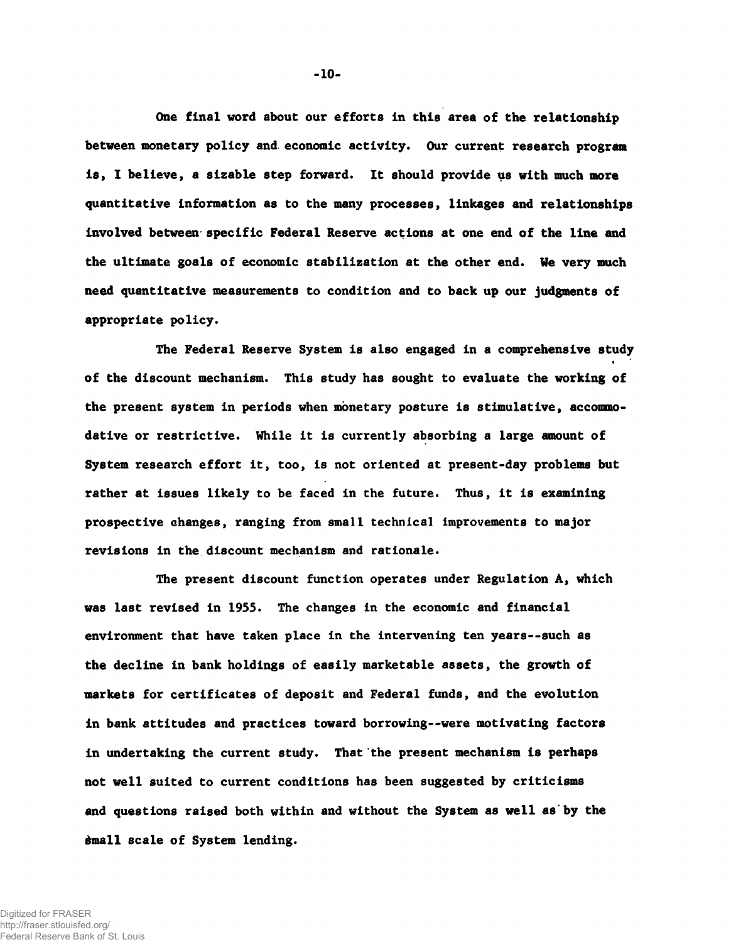One final word about our efforts in this area of the relationship between monetary policy and. economic activity. Our current research program is, I believe, a sizable step forward. It should provide us with much more quantitative information as to the many processes, linkages and relationships involved between specific Federal Reserve actions at one end of the line and the ultimate goals of economic stabilization at the other end. We very much need quantitative measurements to condition and to back up our judgments of appropriate policy.

The Federal Reserve System is also engaged in a comprehensive study of the discount mechanism. This study has sought to evaluate the working of the present system in periods when monetary posture is stimulative, accommodative or restrictive. While it is currently absorbing a large amount of System research effort it, too, is not oriented at present-day problems but rather at issues likely to be faced in the future. Thus, it is examining prospective changes, ranging from small technical improvements to major revisions in the. discount mechanism and rationale.

The present discount function operates under Regulation A, Which was last revised in 1955. The changes in the economic and financial environment that have taken place in the intervening ten years--such as the decline in bank holdings of easily marketable assets, the growth of markets for certificates of deposit and Federal funds, and the evolution in bank attitudes and practices toward borrowing--were motivating factors in undertaking the current study. That the present mechanism is perhaps not well suited to current conditions has been suggested by criticisms and questions raised both within and without the System as well as by the small scale of System lending.

-10-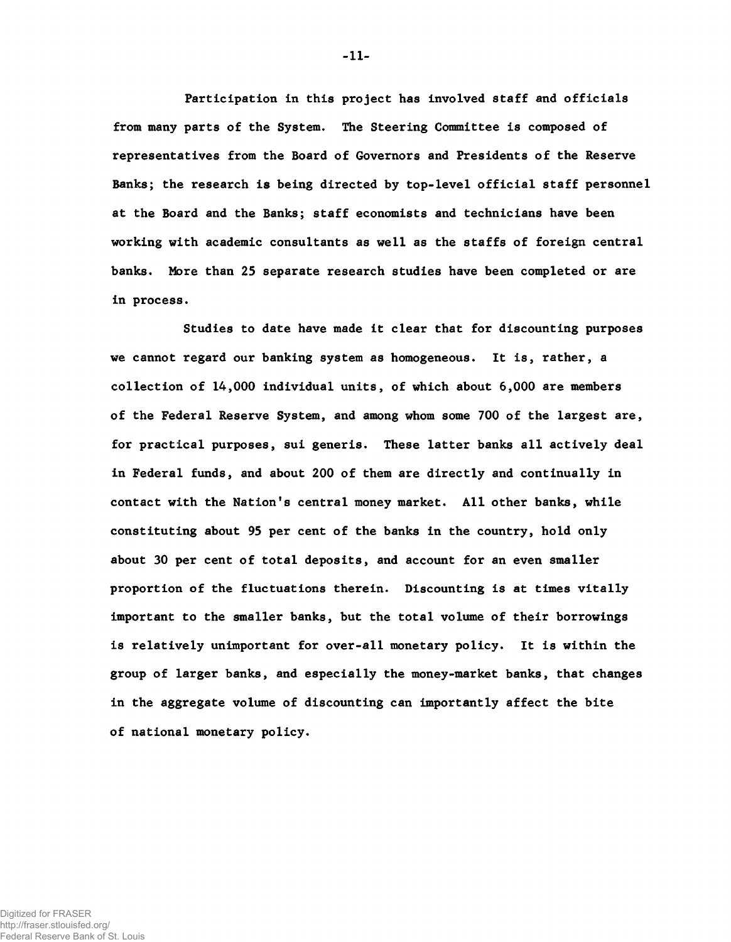Participation in this project has involved staff and officials from many parts of the System. The Steering Committee is composed of representatives from the Board of Governors and Presidents of the Reserve Banks; the research is being directed by top-level official staff personnel at the Board and the Banks; staff economists and technicians have been working with academic consultants as well as the staffs of foreign central banks. More than 25 separate research studies have been completed or are in process.

Studies to date have made it clear that for discounting purposes we cannot regard our banking system as homogeneous. It is, rather, a collection of 14,000 individual units, of which about 6,000 are members of the Federal Reserve System, and among whom some 700 of the largest are, for practical purposes, sui generis. These latter banks all actively deal in Federal funds, and about 200 of them are directly and continually in contact with the Nation's central money market. All other banks, while constituting about 95 per cent of the banks in the country, hold only about 30 per cent of total deposits, and account for an even smaller proportion of the fluctuations therein. Discounting is at times vitally important to the smaller banks, but the total volume of their borrowings is relatively unimportant for over-all monetary policy. It is within the group of larger banks, and especially the money-market banks, that changes in the aggregate volume of discounting can importantly affect the bite of national monetary policy.

-11-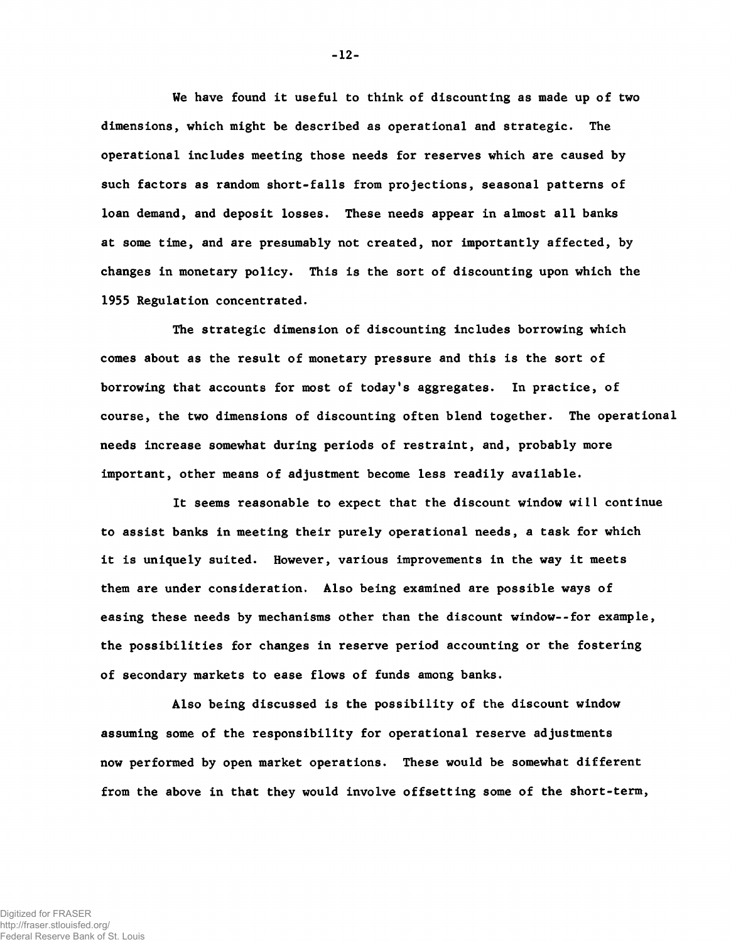We have found it useful to think of discounting as made up of two dimensions, which might be described as operational and strategic. The operational includes meeting those needs for reserves which are caused by such factors as random short-falls from projections, seasonal patterns of loan demand, and deposit losses. These needs appear in almost all banks at some time, and are presumably not created, nor importantly affected, by changes in monetary policy. This is the sort of discounting upon which the 1955 Regulation concentrated.

The strategic dimension of discounting includes borrowing which comes about as the result of monetary pressure and this is the sort of borrowing that accounts for most of today's aggregates. In practice, of course, the two dimensions of discounting often blend together. The operational needs increase somewhat during periods of restraint, and, probably more important, other means of adjustment become less readily available.

It seems reasonable to expect that the discount window will continue to assist banks in meeting their purely operational needs, a task for which it is uniquely suited. However, various improvements in the way it meets them are under consideration. Also being examined are possible ways of easing these needs by mechanisms other than the discount window--for example, the possibilities for changes in reserve period accounting or the fostering of secondary markets to ease flows of funds among banks.

Also being discussed is the possibility of the discount window assuming some of the responsibility for operational reserve adjustments now performed by open market operations. These would be somewhat different from the above in that they would involve offsetting some of the short-term,

-12-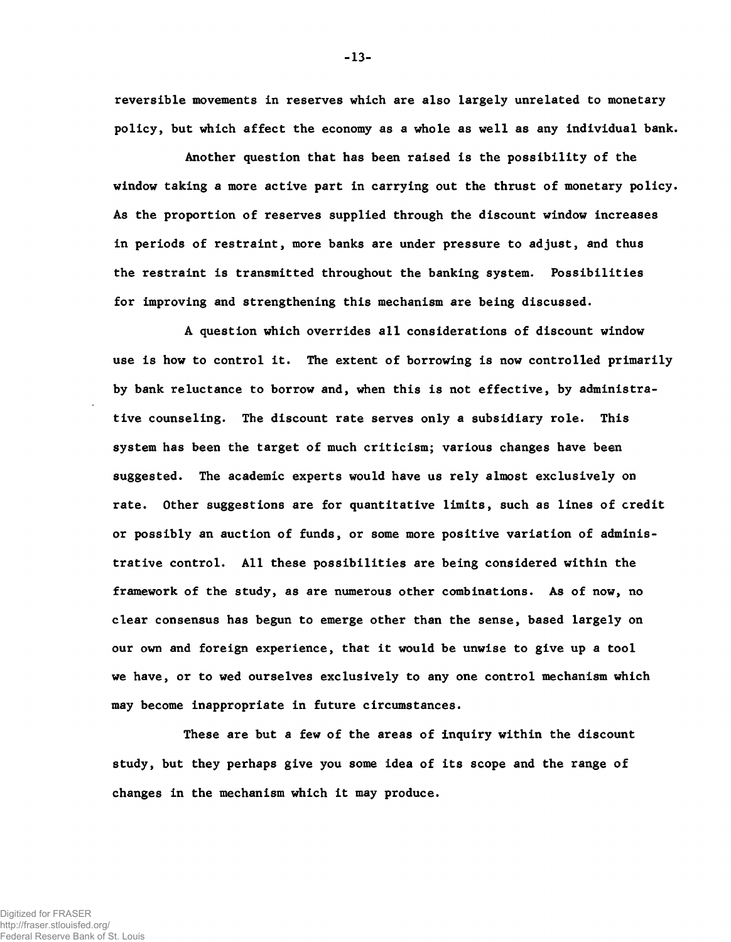reversible movements in reserves which are also largely unrelated to monetary policy, but which affect the economy as a whole as well as any individual bank.

Another question that has been raised is the possibility of the window taking a more active part in carrying out the thrust of monetary policy. As the proportion of reserves supplied through the discount window increases in periods of restraint, more banks are under pressure to adjust, and thus the restraint is transmitted throughout the banking system. Possibilities for improving and strengthening this mechanism are being discussed.

A question which overrides all considerations of discount window use is how to control it. The extent of borrowing is now controlled primarily by bank reluctance to borrow and, when this is not effective, by administrative counseling. The discount rate serves only a subsidiary role. This system has been the target of much criticism; various changes have been suggested. The academic experts would have us rely almost exclusively on rate. Other suggestions are for quantitative limits, such as lines of credit or possibly an auction of funds, or some more positive variation of administrative control. All these possibilities are being considered within the framework of the study, as are numerous other combinations. As of now, no clear consensus has begun to emerge other than the sense, based largely on our own and foreign experience, that it would be unwise to give up a tool we have, or to wed ourselves exclusively to any one control mechanism which may become inappropriate in future circumstances.

These are but a few of the areas of inquiry within the discount study, but they perhaps give you some idea of its scope and the range of changes in the mechanism which it may produce.

 $-13-$